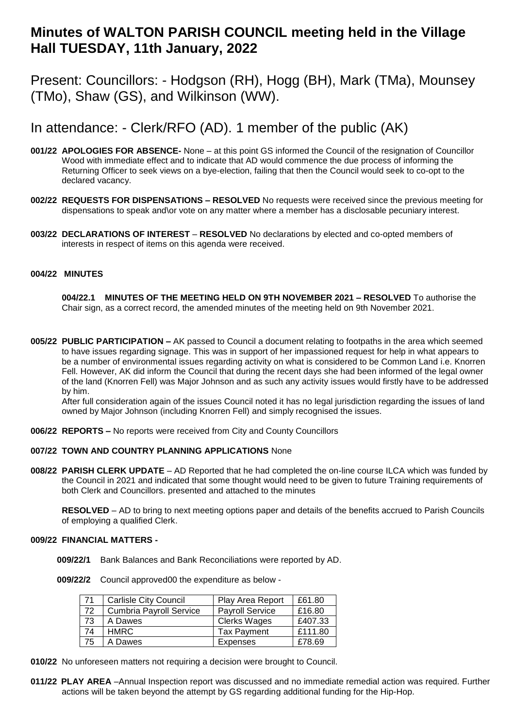# **Minutes of WALTON PARISH COUNCIL meeting held in the Village Hall TUESDAY, 11th January, 2022**

Present: Councillors: - Hodgson (RH), Hogg (BH), Mark (TMa), Mounsey (TMo), Shaw (GS), and Wilkinson (WW).

## In attendance: - Clerk/RFO (AD). 1 member of the public (AK)

- **001/22 APOLOGIES FOR ABSENCE-** None at this point GS informed the Council of the resignation of Councillor Wood with immediate effect and to indicate that AD would commence the due process of informing the Returning Officer to seek views on a bye-election, failing that then the Council would seek to co-opt to the declared vacancy.
- **002/22 REQUESTS FOR DISPENSATIONS – RESOLVED** No requests were received since the previous meeting for dispensations to speak and\or vote on any matter where a member has a disclosable pecuniary interest.
- **003/22 DECLARATIONS OF INTEREST RESOLVED** No declarations by elected and co-opted members of interests in respect of items on this agenda were received.

### **004/22 MINUTES**

**004/22.1 MINUTES OF THE MEETING HELD ON 9TH NOVEMBER 2021 – RESOLVED** To authorise the Chair sign, as a correct record, the amended minutes of the meeting held on 9th November 2021.

**005/22 PUBLIC PARTICIPATION –** AK passed to Council a document relating to footpaths in the area which seemed to have issues regarding signage. This was in support of her impassioned request for help in what appears to be a number of environmental issues regarding activity on what is considered to be Common Land i.e. Knorren Fell. However, AK did inform the Council that during the recent days she had been informed of the legal owner of the land (Knorren Fell) was Major Johnson and as such any activity issues would firstly have to be addressed by him.

After full consideration again of the issues Council noted it has no legal jurisdiction regarding the issues of land owned by Major Johnson (including Knorren Fell) and simply recognised the issues.

**006/22 REPORTS –** No reports were received from City and County Councillors

### **007/22 TOWN AND COUNTRY PLANNING APPLICATIONS** None

**008/22 PARISH CLERK UPDATE** – AD Reported that he had completed the on-line course ILCA which was funded by the Council in 2021 and indicated that some thought would need to be given to future Training requirements of both Clerk and Councillors. presented and attached to the minutes

**RESOLVED** – AD to bring to next meeting options paper and details of the benefits accrued to Parish Councils of employing a qualified Clerk.

#### **009/22 FINANCIAL MATTERS -**

 **009/22/1** Bank Balances and Bank Reconciliations were reported by AD.

 **009/22/2** Council approved00 the expenditure as below -

| 71 | <b>Carlisle City Council</b>   | Play Area Report       | £61.80  |
|----|--------------------------------|------------------------|---------|
| 72 | <b>Cumbria Payroll Service</b> | <b>Payroll Service</b> | £16.80  |
| 73 | A Dawes                        | <b>Clerks Wages</b>    | £407.33 |
| 74 | <b>HMRC</b>                    | <b>Tax Payment</b>     | £111.80 |
| 75 | A Dawes                        | Expenses               | £78.69  |

**010/22** No unforeseen matters not requiring a decision were brought to Council.

**011/22 PLAY AREA** –Annual Inspection report was discussed and no immediate remedial action was required. Further actions will be taken beyond the attempt by GS regarding additional funding for the Hip-Hop.